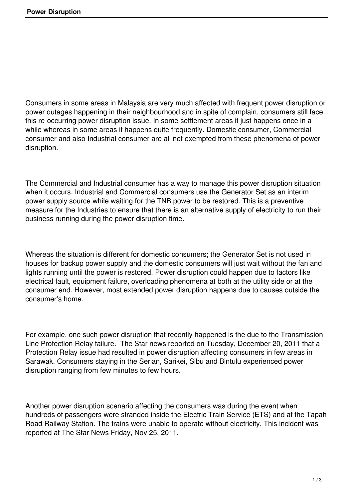Consumers in some areas in Malaysia are very much affected with frequent power disruption or power outages happening in their neighbourhood and in spite of complain, consumers still face this re-occurring power disruption issue. In some settlement areas it just happens once in a while whereas in some areas it happens quite frequently. Domestic consumer, Commercial consumer and also Industrial consumer are all not exempted from these phenomena of power disruption.

The Commercial and Industrial consumer has a way to manage this power disruption situation when it occurs. Industrial and Commercial consumers use the Generator Set as an interim power supply source while waiting for the TNB power to be restored. This is a preventive measure for the Industries to ensure that there is an alternative supply of electricity to run their business running during the power disruption time.

Whereas the situation is different for domestic consumers; the Generator Set is not used in houses for backup power supply and the domestic consumers will just wait without the fan and lights running until the power is restored. Power disruption could happen due to factors like electrical fault, equipment failure, overloading phenomena at both at the utility side or at the consumer end. However, most extended power disruption happens due to causes outside the consumer's home.

For example, one such power disruption that recently happened is the due to the Transmission Line Protection Relay failure. The Star news reported on Tuesday, December 20, 2011 that a Protection Relay issue had resulted in power disruption affecting consumers in few areas in Sarawak. Consumers staying in the Serian, Sarikei, Sibu and Bintulu experienced power disruption ranging from few minutes to few hours.

Another power disruption scenario affecting the consumers was during the event when hundreds of passengers were stranded inside the Electric Train Service (ETS) and at the Tapah Road Railway Station. The trains were unable to operate without electricity. This incident was reported at The Star News Friday, Nov 25, 2011.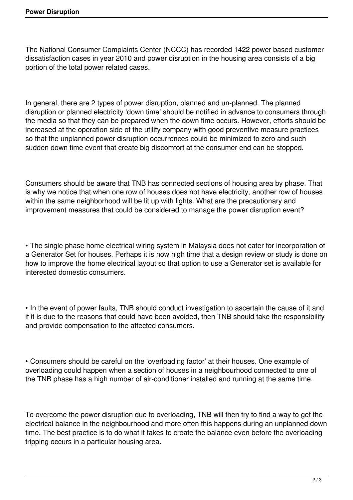The National Consumer Complaints Center (NCCC) has recorded 1422 power based customer dissatisfaction cases in year 2010 and power disruption in the housing area consists of a big portion of the total power related cases.

In general, there are 2 types of power disruption, planned and un-planned. The planned disruption or planned electricity 'down time' should be notified in advance to consumers through the media so that they can be prepared when the down time occurs. However, efforts should be increased at the operation side of the utility company with good preventive measure practices so that the unplanned power disruption occurrences could be minimized to zero and such sudden down time event that create big discomfort at the consumer end can be stopped.

Consumers should be aware that TNB has connected sections of housing area by phase. That is why we notice that when one row of houses does not have electricity, another row of houses within the same neighborhood will be lit up with lights. What are the precautionary and improvement measures that could be considered to manage the power disruption event?

• The single phase home electrical wiring system in Malaysia does not cater for incorporation of a Generator Set for houses. Perhaps it is now high time that a design review or study is done on how to improve the home electrical layout so that option to use a Generator set is available for interested domestic consumers.

• In the event of power faults, TNB should conduct investigation to ascertain the cause of it and if it is due to the reasons that could have been avoided, then TNB should take the responsibility and provide compensation to the affected consumers.

• Consumers should be careful on the 'overloading factor' at their houses. One example of overloading could happen when a section of houses in a neighbourhood connected to one of the TNB phase has a high number of air-conditioner installed and running at the same time.

To overcome the power disruption due to overloading, TNB will then try to find a way to get the electrical balance in the neighbourhood and more often this happens during an unplanned down time. The best practice is to do what it takes to create the balance even before the overloading tripping occurs in a particular housing area.